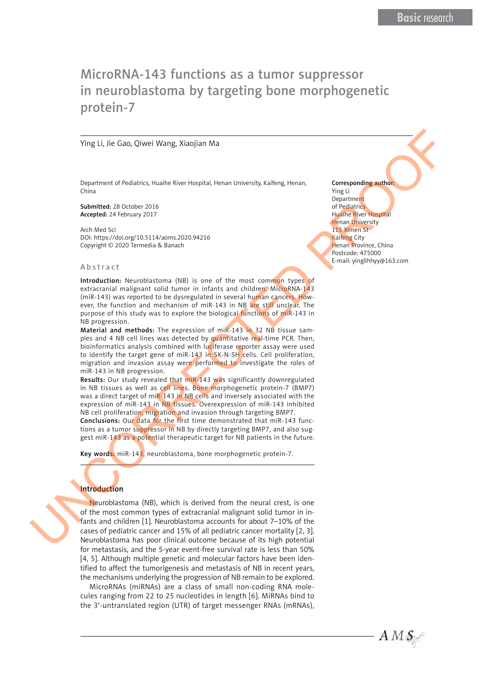# MicroRNA-143 functions as a tumor suppressor in neuroblastoma by targeting bone morphogenetic protein-7

#### Ying Li, Jie Gao, Qiwei Wang, Xiaojian Ma

Department of Pediatrics, Huaihe River Hospital, Henan University, Kaifeng, Henan, China

Submitted: 28 October 2016 Accepted: 24 February 2017

Arch Med Sci DOI: https://doi.org/10.5114/aoms.2020.94216 Copyright © 2020 Termedia & Banach

#### Abstract

Introduction: Neuroblastoma (NB) is one of the most common types of extracranial malignant solid tumor in infants and children. MicroRNA-143 (miR-143) was reported to be dysregulated in several human cancers. However, the function and mechanism of miR-143 in NB are still unclear. The purpose of this study was to explore the biological functions of miR-143 in NB progression.

Material and methods: The expression of miR-143 in 32 NB tissue samples and 4 NB cell lines was detected by quantitative real-time PCR. Then, bioinformatics analysis combined with luciferase reporter assay were used to identify the target gene of miR-143 in SK-N-SH cells. Cell proliferation, migration and invasion assay were performed to investigate the roles of miR-143 in NB progression.

Results: Our study revealed that miR-143 was significantly downregulated in NB tissues as well as cell lines. Bone morphogenetic protein-7 (BMP7) was a direct target of miR-143 in NB cells and inversely associated with the expression of miR-143 in NB tissues. Overexpression of miR-143 inhibited NB cell proliferation, migration and invasion through targeting BMP7.

Conclusions: Our data for the first time demonstrated that miR-143 functions as a tumor suppressor in NB by directly targeting BMP7, and also suggest miR-143 as a potential therapeutic target for NB patients in the future.

Key words: miR-143, neuroblastoma, bone morphogenetic protein-7.

# Introduction

Neuroblastoma (NB), which is derived from the neural crest, is one of the most common types of extracranial malignant solid tumor in infants and children [1]. Neuroblastoma accounts for about 7–10% of the cases of pediatric cancer and 15% of all pediatric cancer mortality [2, 3]. Neuroblastoma has poor clinical outcome because of its high potential for metastasis, and the 5-year event-free survival rate is less than 50% [4, 5]. Although multiple genetic and molecular factors have been identified to affect the tumorigenesis and metastasis of NB in recent years, the mechanisms underlying the progression of NB remain to be explored. Ying Li, jie Gao, Qiwei Wang, Xiaojian Ma.<br>
Desenvenet of Pediatics, the heliotekees here to priority the level of the results. Corresponding the control of the control of the control of the control of the control of the

> MicroRNAs (miRNAs) are a class of small non-coding RNA molecules ranging from 22 to 25 nucleotides in length [6]. MiRNAs bind to the 3′-untranslated region (UTR) of target messenger RNAs (mRNAs),

Corresponding author: Ying Li **Department** of Pediatrics Huaihe River Hospital **Henan University** 115 Ximen St Kaifeng City Henan Province, China Postcode: 475000 E-mail: yinglihhyy@163.com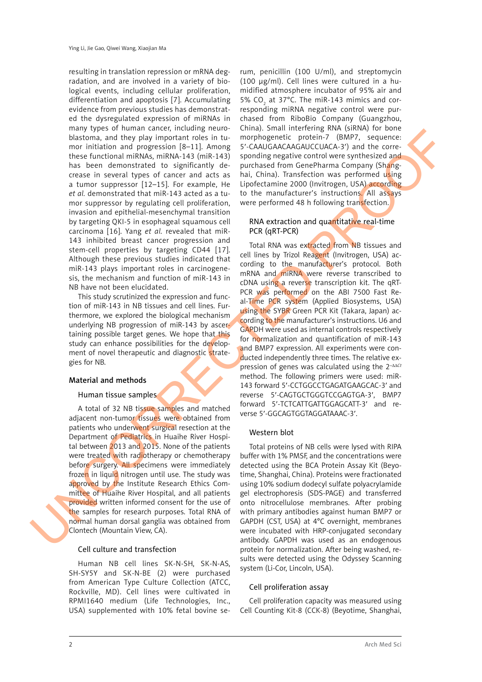resulting in translation repression or mRNA degradation, and are involved in a variety of biological events, including cellular proliferation, differentiation and apoptosis [7]. Accumulating evidence from previous studies has demonstrated the dysregulated expression of miRNAs in many types of human cancer, including neuroblastoma, and they play important roles in tumor initiation and progression [8–11]. Among these functional miRNAs, miRNA-143 (miR-143) has been demonstrated to significantly decrease in several types of cancer and acts as a tumor suppressor [12–15]. For example, He *et al.* demonstrated that miR-143 acted as a tumor suppressor by regulating cell proliferation, invasion and epithelial-mesenchymal transition by targeting QKI-5 in esophageal squamous cell carcinoma [16]. Yang *et al.* revealed that miR-143 inhibited breast cancer progression and stem-cell properties by targeting CD44 [17]. Although these previous studies indicated that miR-143 plays important roles in carcinogenesis, the mechanism and function of miR-143 in NB have not been elucidated.

This study scrutinized the expression and function of miR-143 in NB tissues and cell lines. Furthermore, we explored the biological mechanism underlying NB progression of miR-143 by ascertaining possible target genes. We hope that this study can enhance possibilities for the development of novel therapeutic and diagnostic strategies for NB.

# Material and methods

# Human tissue samples

A total of 32 NB tissue samples and matched adjacent non-tumor tissues were obtained from patients who underwent surgical resection at the Department of Pediatrics in Huaihe River Hospital between 2013 and 2015. None of the patients were treated with radiotherapy or chemotherapy before surgery. All specimens were immediately frozen in liquid nitrogen until use. The study was approved by the Institute Research Ethics Committee of Huaihe River Hospital, and all patients provided written informed consent for the use of the samples for research purposes. Total RNA of normal human dorsal ganglia was obtained from Clontech (Mountain View, CA).

# Cell culture and transfection

Human NB cell lines SK-N-SH, SK-N-AS, SH-SY5Y and SK-N-BE (2) were purchased from American Type Culture Collection (ATCC, Rockville, MD). Cell lines were cultivated in RPMI1640 medium (Life Technologies, Inc., USA) supplemented with 10% fetal bovine se-

rum, penicillin (100 U/ml), and streptomycin (100 μg/ml). Cell lines were cultured in a humidified atmosphere incubator of 95% air and 5%  $CO_2$  at 37°C. The miR-143 mimics and corresponding miRNA negative control were purchased from RiboBio Company (Guangzhou, China). Small interfering RNA (siRNA) for bone morphogenetic protein-7 (BMP7, sequence: 5′-CAAUGAACAAGAUCCUACA-3′) and the corresponding negative control were synthesized and purchased from GenePharma Company (Shanghai, China). Transfection was performed using Lipofectamine 2000 (Invitrogen, USA) according to the manufacturer's instructions. All assays were performed 48 h following transfection.

# RNA extraction and quantitative real-time PCR (qRT-PCR)

Total RNA was extracted from NB tissues and cell lines by Trizol Reagent (Invitrogen, USA) according to the manufacturer's protocol. Both mRNA and miRNA were reverse transcribed to cDNA using a reverse transcription kit. The qRT-PCR was performed on the ABI 7500 Fast Real-Time PCR system (Applied Biosystems, USA) using the SYBR Green PCR Kit (Takara, Japan) according to the manufacturer's instructions. U6 and GAPDH were used as internal controls respectively for normalization and quantification of miR-143 and BMP7 expression. All experiments were conducted independently three times. The relative expression of genes was calculated using the 2–ΔΔ*Ct* method. The following primers were used: miR-143 forward 5′-CCTGGCCTGAGATGAAGCAC-3′ and reverse 5′-CAGTGCTGGGTCCGAGTGA-3′, BMP7 forward 5′-TCTCATTGATTGGAGCATT-3′ and reverse 5′-GGCAGTGGTAGGATAAAC-3′. handron and the play meaning the internal method in the control of the control of the control of the control of the control of the control of the control of the control of the control of the control of the control of the

# Western blot

Total proteins of NB cells were lysed with RIPA buffer with 1% PMSF, and the concentrations were detected using the BCA Protein Assay Kit (Beyotime, Shanghai, China). Proteins were fractionated using 10% sodium dodecyl sulfate polyacrylamide gel electrophoresis (SDS-PAGE) and transferred onto nitrocellulose membranes. After probing with primary antibodies against human BMP7 or GAPDH (CST, USA) at 4°C overnight, membranes were incubated with HRP-conjugated secondary antibody. GAPDH was used as an endogenous protein for normalization. After being washed, results were detected using the Odyssey Scanning system (Li-Cor, Lincoln, USA).

# Cell proliferation assay

Cell proliferation capacity was measured using Cell Counting Kit-8 (CCK-8) (Beyotime, Shanghai,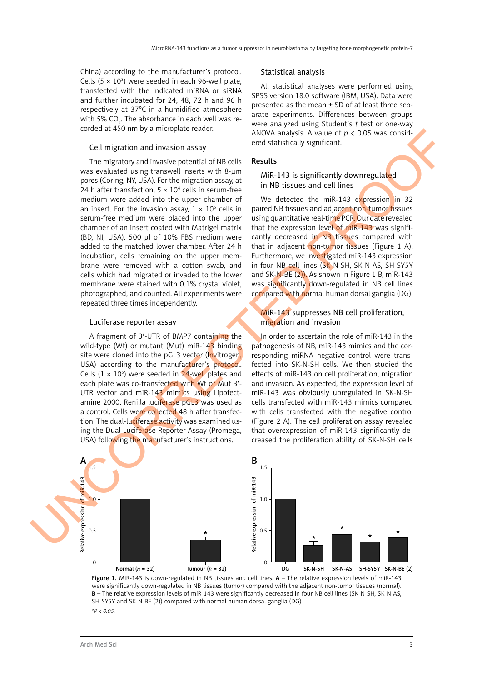China) according to the manufacturer's protocol. Cells  $(5 \times 10^3)$  were seeded in each 96-well plate, transfected with the indicated miRNA or siRNA and further incubated for 24, 48, 72 h and 96 h respectively at 37°C in a humidified atmosphere with 5% CO $_{\textrm{\tiny{2}}}$ . The absorbance in each well was recorded at 450 nm by a microplate reader.

# Cell migration and invasion assay

The migratory and invasive potential of NB cells was evaluated using transwell inserts with 8-μm pores (Coring, NY, USA). For the migration assay, at 24 h after transfection,  $5 \times 10^4$  cells in serum-free medium were added into the upper chamber of an insert. For the invasion assay,  $1 \times 10^5$  cells in serum-free medium were placed into the upper chamber of an insert coated with Matrigel matrix (BD, NJ, USA). 500 μl of 10% FBS medium were added to the matched lower chamber. After 24 h incubation, cells remaining on the upper membrane were removed with a cotton swab, and cells which had migrated or invaded to the lower membrane were stained with 0.1% crystal violet, photographed, and counted. All experiments were repeated three times independently.

#### Luciferase reporter assay

A fragment of 3′-UTR of BMP7 containing the wild-type (Wt) or mutant (Mut) miR-143 binding site were cloned into the pGL3 vector (Invitrogen, USA) according to the manufacturer's protocol. Cells  $(1 \times 10^5)$  were seeded in 24-well plates and each plate was co-transfected with Wt or Mut 3'-UTR vector and miR-143 mimics using Lipofectamine 2000. Renilla luciferase pGL3 was used as a control. Cells were collected 48 h after transfection. The dual-luciferase activity was examined using the Dual Luciferase Reporter Assay (Promega, USA) following the manufacturer's instructions.

#### Statistical analysis

All statistical analyses were performed using SPSS version 18.0 software (IBM, USA). Data were presented as the mean ± SD of at least three separate experiments. Differences between groups were analyzed using Student's *t* test or one-way ANOVA analysis. A value of *p* < 0.05 was considered statistically significant.

#### Results

MiR-143 is significantly downregulated in NB tissues and cell lines

We detected the miR-143 expression in 32 paired NB tissues and adjacent non-tumor tissues using quantitative real-time PCR. Our date revealed that the expression level of miR-143 was significantly decreased in NB tissues compared with that in adjacent non-tumor tissues (Figure 1 A). Furthermore, we investigated miR-143 expression in four NB cell lines (SK-N-SH, SK-N-AS, SH-SY5Y and SK-N-BE (2)). As shown in Figure 1 B, miR-143 was significantly down-regulated in NB cell lines compared with normal human dorsal ganglia (DG).

# MiR-143 suppresses NB cell proliferation, migration and invasion

In order to ascertain the role of miR-143 in the pathogenesis of NB, miR-143 mimics and the corresponding miRNA negative control were transfected into SK-N-SH cells. We then studied the effects of miR-143 on cell proliferation, migration and invasion. As expected, the expression level of miR-143 was obviously upregulated in SK-N-SH cells transfected with miR-143 mimics compared with cells transfected with the negative control (Figure 2 A). The cell proliferation assay revealed that overexpression of miR-143 significantly decreased the proliferation ability of SK-N-SH cells



Figure 1. MiR-143 is down-regulated in NB tissues and cell lines.  $A$  – The relative expression levels of miR-143 were significantly down-regulated in NB tissues (tumor) compared with the adjacent non-tumor tissues (normal). B – The relative expression levels of miR-143 were significantly decreased in four NB cell lines (SK-N-SH, SK-N-AS, SH-SY5Y and SK-N-BE (2)) compared with normal human dorsal ganglia (DG) *\*P < 0.05.*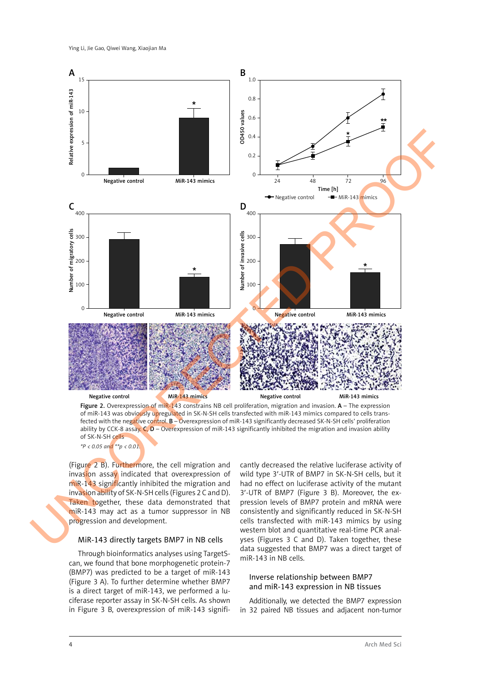

*\*P < 0.05 and \*\*p < 0.01.* 

(Figure 2 B). Furthermore, the cell migration and invasion assay indicated that overexpression of miR-143 significantly inhibited the migration and invasion ability of SK-N-SH cells (Figures 2 C and D). Taken together, these data demonstrated that miR-143 may act as a tumor suppressor in NB progression and development.

# MiR-143 directly targets BMP7 in NB cells

Through bioinformatics analyses using TargetScan, we found that bone morphogenetic protein-7 (BMP7) was predicted to be a target of miR-143 (Figure 3 A). To further determine whether BMP7 is a direct target of miR-143, we performed a luciferase reporter assay in SK-N-SH cells. As shown in Figure 3 B, overexpression of miR-143 signifi-

cantly decreased the relative luciferase activity of wild type 3′-UTR of BMP7 in SK-N-SH cells, but it had no effect on luciferase activity of the mutant 3′-UTR of BMP7 (Figure 3 B). Moreover, the expression levels of BMP7 protein and mRNA were consistently and significantly reduced in SK-N-SH cells transfected with miR-143 mimics by using western blot and quantitative real-time PCR analyses (Figures 3 C and D). Taken together, these data suggested that BMP7 was a direct target of miR-143 in NB cells.

# Inverse relationship between BMP7 and miR-143 expression in NB tissues

Additionally, we detected the BMP7 expression in 32 paired NB tissues and adjacent non-tumor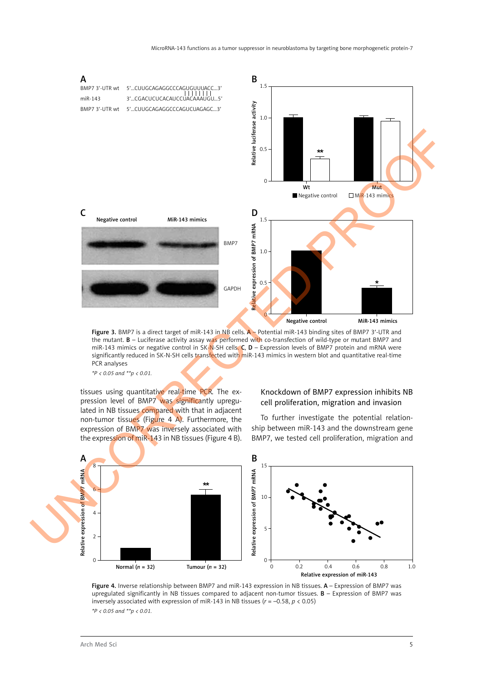

Figure 3. BMP7 is a direct target of miR-143 in NB cells. A - Potential miR-143 binding sites of BMP7 3'-UTR and the mutant. B – Luciferase activity assay was performed with co-transfection of wild-type or mutant BMP7 and miR-143 mimics or negative control in SK-N-SH cells. C, D - Expression levels of BMP7 protein and mRNA were significantly reduced in SK-N-SH cells transfected with miR-143 mimics in western blot and quantitative real-time PCR analyses

*\*P < 0.05 and \*\*p < 0.01.* 

tissues using quantitative real-time PCR. The expression level of BMP7 was significantly upregulated in NB tissues compared with that in adjacent non-tumor tissues (Figure 4 A). Furthermore, the expression of BMP7 was inversely associated with the expression of miR-143 in NB tissues (Figure 4 B).

# Knockdown of BMP7 expression inhibits NB cell proliferation, migration and invasion

To further investigate the potential relationship between miR-143 and the downstream gene BMP7, we tested cell proliferation, migration and



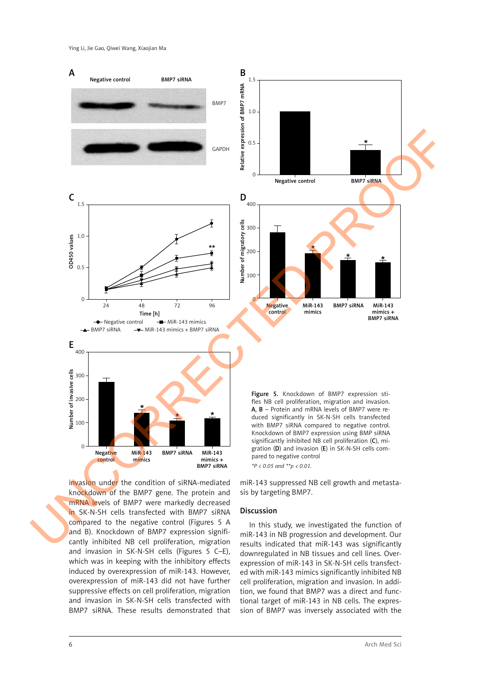

invasion under the condition of siRNA-mediated knockdown of the BMP7 gene. The protein and mRNA levels of BMP7 were markedly decreased in SK-N-SH cells transfected with BMP7 siRNA compared to the negative control (Figures 5 A and B). Knockdown of BMP7 expression significantly inhibited NB cell proliferation, migration and invasion in SK-N-SH cells (Figures 5 C–E), which was in keeping with the inhibitory effects induced by overexpression of miR-143. However, overexpression of miR-143 did not have further suppressive effects on cell proliferation, migration and invasion in SK-N-SH cells transfected with BMP7 siRNA. These results demonstrated that

miR-143 suppressed NB cell growth and metastasis by targeting BMP7.

#### Discussion

In this study, we investigated the function of miR-143 in NB progression and development. Our results indicated that miR-143 was significantly downregulated in NB tissues and cell lines. Overexpression of miR-143 in SK-N-SH cells transfected with miR-143 mimics significantly inhibited NB cell proliferation, migration and invasion. In addition, we found that BMP7 was a direct and functional target of miR-143 in NB cells. The expression of BMP7 was inversely associated with the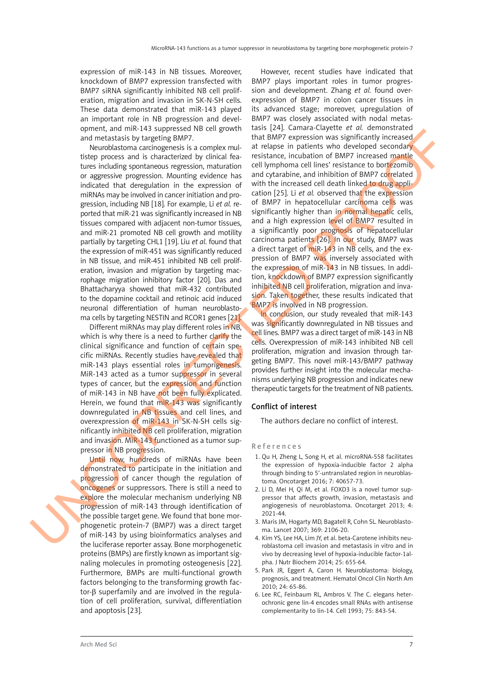expression of miR-143 in NB tissues. Moreover, knockdown of BMP7 expression transfected with BMP7 siRNA significantly inhibited NB cell proliferation, migration and invasion in SK-N-SH cells. These data demonstrated that miR-143 played an important role in NB progression and development, and miR-143 suppressed NB cell growth and metastasis by targeting BMP7.

Neuroblastoma carcinogenesis is a complex multistep process and is characterized by clinical features including spontaneous regression, maturation or aggressive progression. Mounting evidence has indicated that deregulation in the expression of miRNAs may be involved in cancer initiation and progression, including NB [18]. For example, Li *et al.* reported that miR-21 was significantly increased in NB tissues compared with adjacent non-tumor tissues, and miR-21 promoted NB cell growth and motility partially by targeting CHL1 [19]. Liu *et al*. found that the expression of miR-451 was significantly reduced in NB tissue, and miR-451 inhibited NB cell proliferation, invasion and migration by targeting macrophage migration inhibitory factor [20]. Das and Bhattacharyya showed that miR-432 contributed to the dopamine cocktail and retinoic acid induced neuronal differentiation of human neuroblastoma cells by targeting NESTIN and RCOR1 genes [21].

Different miRNAs may play different roles in NB, which is why there is a need to further clarify the clinical significance and function of certain specific miRNAs. Recently studies have revealed that miR-143 plays essential roles in tumorigenesis. MiR-143 acted as a tumor suppressor in several types of cancer, but the expression and function of miR-143 in NB have not been fully explicated. Herein, we found that miR-143 was significantly downregulated in NB tissues and cell lines, and overexpression of miR-143 in SK-N-SH cells significantly inhibited NB cell proliferation, migration and invasion. MiR-143 functioned as a tumor suppressor in NB progression.

Until now, hundreds of miRNAs have been demonstrated to participate in the initiation and progression of cancer though the regulation of oncogenes or suppressors. There is still a need to explore the molecular mechanism underlying NB progression of miR-143 through identification of the possible target gene. We found that bone morphogenetic protein-7 (BMP7) was a direct target of miR-143 by using bioinformatics analyses and the luciferase reporter assay. Bone morphogenetic proteins (BMPs) are firstly known as important signaling molecules in promoting osteogenesis [22]. Furthermore, BMPs are multi-functional growth factors belonging to the transforming growth factor-β superfamily and are involved in the regulation of cell proliferation, survival, differentiation and apoptosis [23].

However, recent studies have indicated that BMP7 plays important roles in tumor progression and development. Zhang *et al.* found overexpression of BMP7 in colon cancer tissues in its advanced stage; moreover, upregulation of BMP7 was closely associated with nodal metastasis [24]. Camara-Clayette *et al.* demonstrated that BMP7 expression was significantly increased at relapse in patients who developed secondary resistance, incubation of BMP7 increased mantle cell lymphoma cell lines' resistance to bortezomib and cytarabine, and inhibition of BMP7 correlated with the increased cell death linked to drug application [25]. Li *et al.* observed that the expression of BMP7 in hepatocellular carcinoma cells was significantly higher than in normal hepatic cells, and a high expression level of BMP7 resulted in a significantly poor prognosis of hepatocellular carcinoma patients [26]. In our study, BMP7 was a direct target of miR-143 in NB cells, and the expression of BMP7 was inversely associated with the expression of miR-143 in NB tissues. In addition, knockdown of BMP7 expression significantly inhibited NB cell proliferation, migration and invasion. Taken together, these results indicated that BMP7 is involved in NB progression. one contributed by the procedure of the state of the state of the state of the state of the state of the state of the state of the state of the state of the state of the state of the state of the state of the state of the

In conclusion, our study revealed that miR-143 was significantly downregulated in NB tissues and cell lines. BMP7 was a direct target of miR-143 in NB cells. Overexpression of miR-143 inhibited NB cell proliferation, migration and invasion through targeting BMP7. This novel miR-143/BMP7 pathway provides further insight into the molecular mechanisms underlying NB progression and indicates new therapeutic targets for the treatment of NB patients.

# Conflict of interest

The authors declare no conflict of interest.

# References

- 1. Qu H, Zheng L, Song H, et al. microRNA-558 facilitates the expression of hypoxia-inducible factor 2 alpha through binding to 5'-untranslated region in neuroblastoma. Oncotarget 2016; 7: 40657-73.
- 2. Li D, Mei H, Qi M, et al. FOXD3 is a novel tumor suppressor that affects growth, invasion, metastasis and angiogenesis of neuroblastoma. Oncotarget 2013; 4: 2021-44.
- 3. Maris JM, Hogarty MD, Bagatell R, Cohn SL. Neuroblastoma. Lancet 2007; 369: 2106-20.
- 4. Kim YS, Lee HA, Lim JY, et al. beta-Carotene inhibits neuroblastoma cell invasion and metastasis in vitro and in vivo by decreasing level of hypoxia-inducible factor-1alpha. J Nutr Biochem 2014; 25: 655-64.
- 5. Park JR, Eggert A, Caron H. Neuroblastoma: biology, prognosis, and treatment. Hematol Oncol Clin North Am 2010; 24: 65-86.
- 6. Lee RC, Feinbaum RL, Ambros V. The C. elegans heterochronic gene lin-4 encodes small RNAs with antisense complementarity to lin-14. Cell 1993; 75: 843-54.